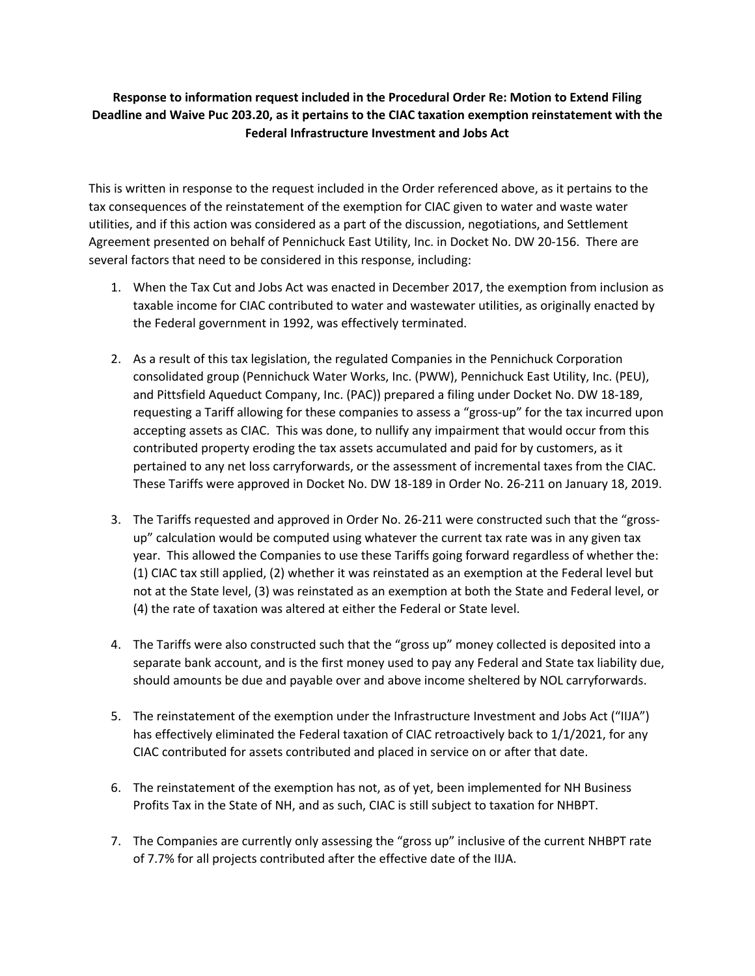## **Response to information request included in the Procedural Order Re: Motion to Extend Filing Deadline and Waive Puc 203.20, as it pertains to the CIAC taxation exemption reinstatement with the Federal Infrastructure Investment and Jobs Act**

This is written in response to the request included in the Order referenced above, as it pertains to the tax consequences of the reinstatement of the exemption for CIAC given to water and waste water utilities, and if this action was considered as a part of the discussion, negotiations, and Settlement Agreement presented on behalf of Pennichuck East Utility, Inc. in Docket No. DW 20-156. There are several factors that need to be considered in this response, including:

- 1. When the Tax Cut and Jobs Act was enacted in December 2017, the exemption from inclusion as taxable income for CIAC contributed to water and wastewater utilities, as originally enacted by the Federal government in 1992, was effectively terminated.
- 2. As a result of this tax legislation, the regulated Companies in the Pennichuck Corporation consolidated group (Pennichuck Water Works, Inc. (PWW), Pennichuck East Utility, Inc. (PEU), and Pittsfield Aqueduct Company, Inc. (PAC)) prepared a filing under Docket No. DW 18-189, requesting a Tariff allowing for these companies to assess a "gross-up" for the tax incurred upon accepting assets as CIAC. This was done, to nullify any impairment that would occur from this contributed property eroding the tax assets accumulated and paid for by customers, as it pertained to any net loss carryforwards, or the assessment of incremental taxes from the CIAC. These Tariffs were approved in Docket No. DW 18-189 in Order No. 26-211 on January 18, 2019.
- 3. The Tariffs requested and approved in Order No. 26-211 were constructed such that the "grossup" calculation would be computed using whatever the current tax rate was in any given tax year. This allowed the Companies to use these Tariffs going forward regardless of whether the: (1) CIAC tax still applied, (2) whether it was reinstated as an exemption at the Federal level but not at the State level, (3) was reinstated as an exemption at both the State and Federal level, or (4) the rate of taxation was altered at either the Federal or State level.
- 4. The Tariffs were also constructed such that the "gross up" money collected is deposited into a separate bank account, and is the first money used to pay any Federal and State tax liability due, should amounts be due and payable over and above income sheltered by NOL carryforwards.
- 5. The reinstatement of the exemption under the Infrastructure Investment and Jobs Act ("IIJA") has effectively eliminated the Federal taxation of CIAC retroactively back to 1/1/2021, for any CIAC contributed for assets contributed and placed in service on or after that date.
- 6. The reinstatement of the exemption has not, as of yet, been implemented for NH Business Profits Tax in the State of NH, and as such, CIAC is still subject to taxation for NHBPT.
- 7. The Companies are currently only assessing the "gross up" inclusive of the current NHBPT rate of 7.7% for all projects contributed after the effective date of the IIJA.